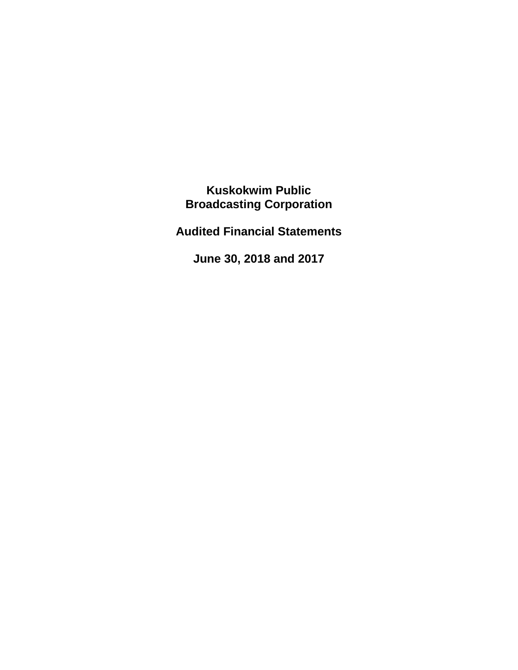**Kuskokwim Public Broadcasting Corporation**

**Audited Financial Statements**

**June 30, 2018 and 2017**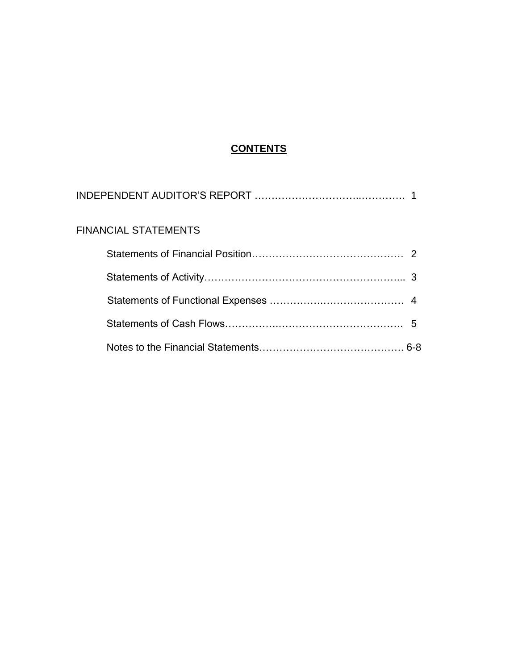## **CONTENTS**

| <b>FINANCIAL STATEMENTS</b> |  |
|-----------------------------|--|
|                             |  |
|                             |  |
|                             |  |
|                             |  |
|                             |  |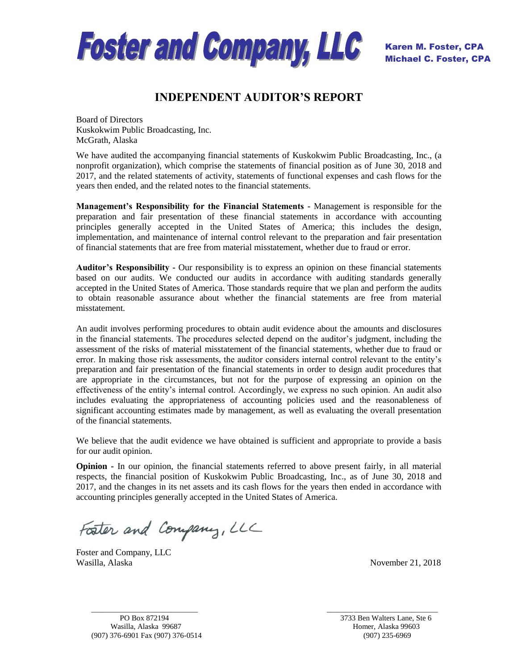

## **INDEPENDENT AUDITOR'S REPORT**

Board of Directors Kuskokwim Public Broadcasting, Inc. McGrath, Alaska

We have audited the accompanying financial statements of Kuskokwim Public Broadcasting, Inc., (a nonprofit organization), which comprise the statements of financial position as of June 30, 2018 and 2017, and the related statements of activity, statements of functional expenses and cash flows for the years then ended, and the related notes to the financial statements.

**Management's Responsibility for the Financial Statements -** Management is responsible for the preparation and fair presentation of these financial statements in accordance with accounting principles generally accepted in the United States of America; this includes the design, implementation, and maintenance of internal control relevant to the preparation and fair presentation of financial statements that are free from material misstatement, whether due to fraud or error.

**Auditor's Responsibility -** Our responsibility is to express an opinion on these financial statements based on our audits. We conducted our audits in accordance with auditing standards generally accepted in the United States of America. Those standards require that we plan and perform the audits to obtain reasonable assurance about whether the financial statements are free from material misstatement.

An audit involves performing procedures to obtain audit evidence about the amounts and disclosures in the financial statements. The procedures selected depend on the auditor's judgment, including the assessment of the risks of material misstatement of the financial statements, whether due to fraud or error. In making those risk assessments, the auditor considers internal control relevant to the entity's preparation and fair presentation of the financial statements in order to design audit procedures that are appropriate in the circumstances, but not for the purpose of expressing an opinion on the effectiveness of the entity's internal control. Accordingly, we express no such opinion. An audit also includes evaluating the appropriateness of accounting policies used and the reasonableness of significant accounting estimates made by management, as well as evaluating the overall presentation of the financial statements.

We believe that the audit evidence we have obtained is sufficient and appropriate to provide a basis for our audit opinion.

**Opinion -** In our opinion, the financial statements referred to above present fairly, in all material respects, the financial position of Kuskokwim Public Broadcasting, Inc., as of June 30, 2018 and 2017, and the changes in its net assets and its cash flows for the years then ended in accordance with accounting principles generally accepted in the United States of America.

 $\frac{1}{2}$  ,  $\frac{1}{2}$  ,  $\frac{1}{2}$  ,  $\frac{1}{2}$  ,  $\frac{1}{2}$  ,  $\frac{1}{2}$  ,  $\frac{1}{2}$  ,  $\frac{1}{2}$  ,  $\frac{1}{2}$  ,  $\frac{1}{2}$  ,  $\frac{1}{2}$  ,  $\frac{1}{2}$  ,  $\frac{1}{2}$  ,  $\frac{1}{2}$  ,  $\frac{1}{2}$  ,  $\frac{1}{2}$  ,  $\frac{1}{2}$  ,  $\frac{1}{2}$  ,  $\frac{1$ 

Foster and Company, LLC

Foster and Company, LLC Wasilla, Alaska November 21, 2018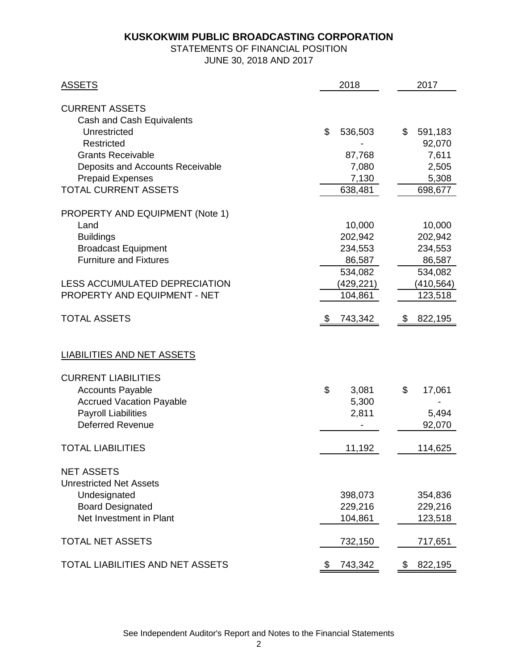# STATEMENTS OF FINANCIAL POSITION

JUNE 30, 2018 AND 2017

| <b>ASSETS</b>                                                      | 2018             | 2017             |
|--------------------------------------------------------------------|------------------|------------------|
| <b>CURRENT ASSETS</b><br>Cash and Cash Equivalents<br>Unrestricted | \$<br>536,503    | \$<br>591,183    |
| <b>Restricted</b>                                                  |                  | 92,070           |
| <b>Grants Receivable</b>                                           | 87,768           | 7,611            |
| Deposits and Accounts Receivable                                   | 7,080            | 2,505            |
| <b>Prepaid Expenses</b><br><b>TOTAL CURRENT ASSETS</b>             | 7,130<br>638,481 | 5,308<br>698,677 |
|                                                                    |                  |                  |
| <b>PROPERTY AND EQUIPMENT (Note 1)</b>                             |                  |                  |
| Land                                                               | 10,000           | 10,000           |
| <b>Buildings</b>                                                   | 202,942          | 202,942          |
| <b>Broadcast Equipment</b>                                         | 234,553          | 234,553          |
| <b>Furniture and Fixtures</b>                                      | 86,587           | 86,587           |
|                                                                    | 534,082          | 534,082          |
| LESS ACCUMULATED DEPRECIATION                                      | (429,221)        | (410, 564)       |
| PROPERTY AND EQUIPMENT - NET                                       | 104,861          | 123,518          |
| <b>TOTAL ASSETS</b>                                                | \$<br>743,342    | 822,195<br>\$    |
|                                                                    |                  |                  |
| <b>LIABILITIES AND NET ASSETS</b>                                  |                  |                  |
| <b>CURRENT LIABILITIES</b>                                         |                  |                  |
| <b>Accounts Payable</b>                                            | \$<br>3,081      | \$<br>17,061     |
| <b>Accrued Vacation Payable</b>                                    | 5,300            |                  |
| <b>Payroll Liabilities</b>                                         | 2,811            | 5,494            |
| <b>Deferred Revenue</b>                                            |                  | 92,070           |
| <b>TOTAL LIABILITIES</b>                                           | 11,192           | 114,625          |
| <b>NET ASSETS</b><br><b>Unrestricted Net Assets</b>                |                  |                  |
| Undesignated                                                       | 398,073          | 354,836          |
| <b>Board Designated</b>                                            | 229,216          | 229,216          |
| Net Investment in Plant                                            | 104,861          | 123,518          |
| <b>TOTAL NET ASSETS</b>                                            | 732,150          | 717,651          |
| <b>TOTAL LIABILITIES AND NET ASSETS</b>                            | 743,342<br>\$    | 822,195<br>\$    |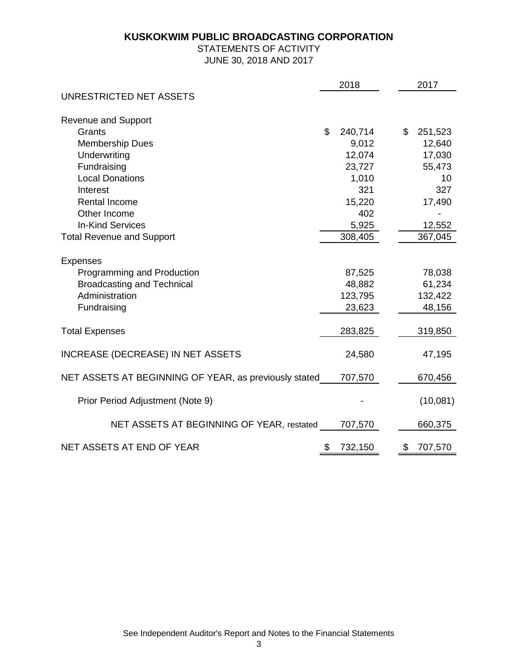#### STATEMENTS OF ACTIVITY JUNE 30, 2018 AND 2017

|                                                       | 2018          | 2017          |
|-------------------------------------------------------|---------------|---------------|
| UNRESTRICTED NET ASSETS                               |               |               |
| <b>Revenue and Support</b>                            |               |               |
| Grants                                                | \$<br>240,714 | \$<br>251,523 |
| <b>Membership Dues</b>                                | 9,012         | 12,640        |
| Underwriting                                          | 12,074        | 17,030        |
| Fundraising                                           | 23,727        | 55,473        |
| <b>Local Donations</b>                                | 1,010         | 10            |
| Interest                                              | 321           | 327           |
| Rental Income                                         | 15,220        | 17,490        |
| Other Income                                          | 402           |               |
| <b>In-Kind Services</b>                               | 5,925         | 12,552        |
| <b>Total Revenue and Support</b>                      | 308,405       | 367,045       |
| <b>Expenses</b>                                       |               |               |
| Programming and Production                            | 87,525        | 78,038        |
| <b>Broadcasting and Technical</b>                     | 48,882        | 61,234        |
| Administration                                        | 123,795       | 132,422       |
| Fundraising                                           | 23,623        | 48,156        |
| <b>Total Expenses</b>                                 | 283,825       | 319,850       |
| <b>INCREASE (DECREASE) IN NET ASSETS</b>              | 24,580        | 47,195        |
| NET ASSETS AT BEGINNING OF YEAR, as previously stated | 707,570       | 670,456       |
| Prior Period Adjustment (Note 9)                      |               | (10,081)      |
| NET ASSETS AT BEGINNING OF YEAR, restated             | 707,570       | 660,375       |
| NET ASSETS AT END OF YEAR                             | \$<br>732,150 | \$<br>707,570 |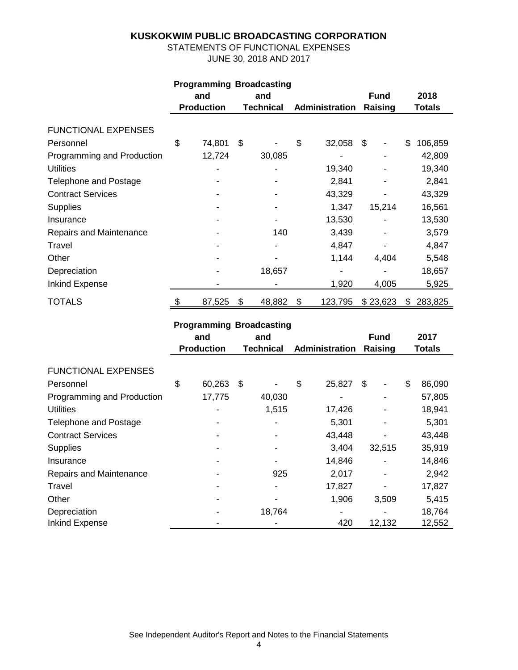STATEMENTS OF FUNCTIONAL EXPENSES JUNE 30, 2018 AND 2017

| <b>Programming Broadcasting</b> |            |                                |             |                |         |         |               |    |         |
|---------------------------------|------------|--------------------------------|-------------|----------------|---------|---------|---------------|----|---------|
|                                 | and<br>and |                                | <b>Fund</b> | 2018           |         |         |               |    |         |
|                                 |            | <b>Production</b><br>Technical |             | Administration | Raising |         | <b>Totals</b> |    |         |
|                                 |            |                                |             |                |         |         |               |    |         |
| <b>FUNCTIONAL EXPENSES</b>      |            |                                |             |                |         |         |               |    |         |
| Personnel                       | \$         | 74,801                         | \$          |                | \$      | 32,058  | \$            | \$ | 106,859 |
| Programming and Production      |            | 12,724                         |             | 30,085         |         |         |               |    | 42,809  |
| <b>Utilities</b>                |            |                                |             |                |         | 19,340  |               |    | 19,340  |
| <b>Telephone and Postage</b>    |            |                                |             |                |         | 2,841   |               |    | 2,841   |
| <b>Contract Services</b>        |            |                                |             |                |         | 43,329  |               |    | 43,329  |
| <b>Supplies</b>                 |            |                                |             |                |         | 1,347   | 15,214        |    | 16,561  |
| Insurance                       |            |                                |             |                |         | 13,530  |               |    | 13,530  |
| Repairs and Maintenance         |            |                                |             | 140            |         | 3,439   |               |    | 3,579   |
| Travel                          |            |                                |             |                |         | 4,847   |               |    | 4,847   |
| Other                           |            |                                |             |                |         | 1,144   | 4,404         |    | 5,548   |
| Depreciation                    |            |                                |             | 18,657         |         |         |               |    | 18,657  |
| Inkind Expense                  |            |                                |             |                |         | 1,920   | 4,005         |    | 5,925   |
| <b>TOTALS</b>                   | \$         | 87,525                         | \$          | 48,882         | \$      | 123,795 | \$23,623      | S  | 283,825 |

#### **Programming Broadcasting**

|                            | and<br><b>Production</b> |        | and<br>Technical |        | Administration |        | <b>Fund</b><br>Raising |        | 2017<br><b>Totals</b> |        |
|----------------------------|--------------------------|--------|------------------|--------|----------------|--------|------------------------|--------|-----------------------|--------|
| <b>FUNCTIONAL EXPENSES</b> |                          |        |                  |        |                |        |                        |        |                       |        |
| Personnel                  | \$                       | 60,263 | \$               |        | \$             | 25,827 | \$                     |        | \$                    | 86,090 |
| Programming and Production |                          | 17,775 |                  | 40,030 |                |        |                        |        |                       | 57,805 |
| <b>Utilities</b>           |                          |        |                  | 1,515  |                | 17,426 |                        |        |                       | 18,941 |
| Telephone and Postage      |                          |        |                  |        |                | 5,301  |                        |        |                       | 5,301  |
| <b>Contract Services</b>   |                          |        |                  |        |                | 43,448 |                        |        |                       | 43,448 |
| <b>Supplies</b>            |                          |        |                  |        |                | 3,404  |                        | 32,515 |                       | 35,919 |
| Insurance                  |                          |        |                  |        |                | 14,846 |                        |        |                       | 14,846 |
| Repairs and Maintenance    |                          |        |                  | 925    |                | 2,017  |                        |        |                       | 2,942  |
| Travel                     |                          |        |                  |        |                | 17,827 |                        |        |                       | 17,827 |
| Other                      |                          |        |                  |        |                | 1,906  |                        | 3,509  |                       | 5,415  |
| Depreciation               |                          |        |                  | 18,764 |                | ۰      |                        |        |                       | 18,764 |
| <b>Inkind Expense</b>      |                          |        |                  |        |                | 420    |                        | 12,132 |                       | 12,552 |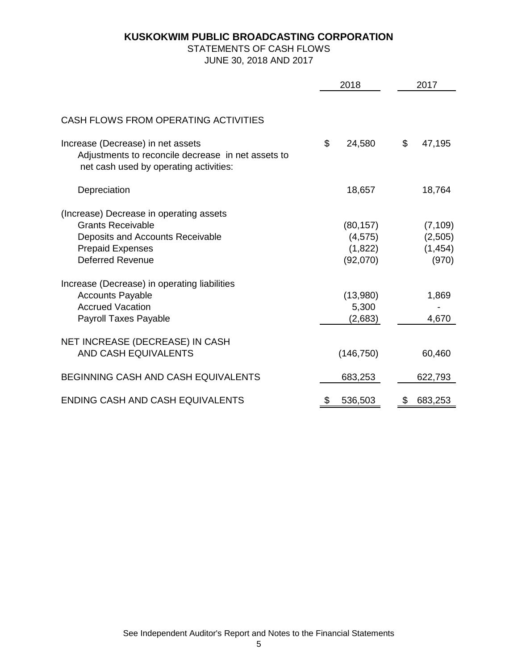#### STATEMENTS OF CASH FLOWS JUNE 30, 2018 AND 2017

|                                                                                                                                                               | 2018 |                                              |    | 2017                                     |  |  |
|---------------------------------------------------------------------------------------------------------------------------------------------------------------|------|----------------------------------------------|----|------------------------------------------|--|--|
|                                                                                                                                                               |      |                                              |    |                                          |  |  |
| CASH FLOWS FROM OPERATING ACTIVITIES                                                                                                                          |      |                                              |    |                                          |  |  |
| Increase (Decrease) in net assets<br>Adjustments to reconcile decrease in net assets to<br>net cash used by operating activities:                             | \$   | 24,580                                       | \$ | 47,195                                   |  |  |
| Depreciation                                                                                                                                                  |      | 18,657                                       |    | 18,764                                   |  |  |
| (Increase) Decrease in operating assets<br><b>Grants Receivable</b><br>Deposits and Accounts Receivable<br><b>Prepaid Expenses</b><br><b>Deferred Revenue</b> |      | (80, 157)<br>(4, 575)<br>(1,822)<br>(92,070) |    | (7, 109)<br>(2,505)<br>(1, 454)<br>(970) |  |  |
| Increase (Decrease) in operating liabilities<br><b>Accounts Payable</b><br><b>Accrued Vacation</b><br>Payroll Taxes Payable                                   |      | (13,980)<br>5,300<br>(2,683)                 |    | 1,869<br>4,670                           |  |  |
| NET INCREASE (DECREASE) IN CASH<br>AND CASH EQUIVALENTS                                                                                                       |      | (146, 750)                                   |    | 60,460                                   |  |  |
| <b>BEGINNING CASH AND CASH EQUIVALENTS</b>                                                                                                                    |      | 683,253                                      |    | 622,793                                  |  |  |
| ENDING CASH AND CASH EQUIVALENTS                                                                                                                              | \$   | 536,503                                      | \$ | 683,253                                  |  |  |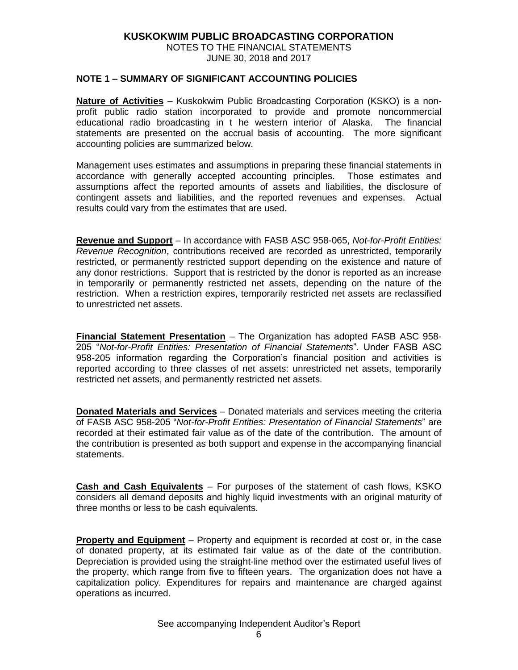NOTES TO THE FINANCIAL STATEMENTS JUNE 30, 2018 and 2017

#### **NOTE 1 – SUMMARY OF SIGNIFICANT ACCOUNTING POLICIES**

**Nature of Activities** – Kuskokwim Public Broadcasting Corporation (KSKO) is a nonprofit public radio station incorporated to provide and promote noncommercial educational radio broadcasting in t he western interior of Alaska. The financial statements are presented on the accrual basis of accounting. The more significant accounting policies are summarized below.

Management uses estimates and assumptions in preparing these financial statements in accordance with generally accepted accounting principles. Those estimates and assumptions affect the reported amounts of assets and liabilities, the disclosure of contingent assets and liabilities, and the reported revenues and expenses. Actual results could vary from the estimates that are used.

**Revenue and Support** – In accordance with FASB ASC 958-065, *Not-for-Profit Entities: Revenue Recognition*, contributions received are recorded as unrestricted, temporarily restricted, or permanently restricted support depending on the existence and nature of any donor restrictions. Support that is restricted by the donor is reported as an increase in temporarily or permanently restricted net assets, depending on the nature of the restriction. When a restriction expires, temporarily restricted net assets are reclassified to unrestricted net assets.

**Financial Statement Presentation** – The Organization has adopted FASB ASC 958- 205 "*Not-for-Profit Entities: Presentation of Financial Statements*". Under FASB ASC 958-205 information regarding the Corporation's financial position and activities is reported according to three classes of net assets: unrestricted net assets, temporarily restricted net assets, and permanently restricted net assets.

**Donated Materials and Services** – Donated materials and services meeting the criteria of FASB ASC 958-205 "*Not-for-Profit Entities: Presentation of Financial Statements*" are recorded at their estimated fair value as of the date of the contribution. The amount of the contribution is presented as both support and expense in the accompanying financial statements.

**Cash and Cash Equivalents** – For purposes of the statement of cash flows, KSKO considers all demand deposits and highly liquid investments with an original maturity of three months or less to be cash equivalents.

**Property and Equipment** – Property and equipment is recorded at cost or, in the case of donated property, at its estimated fair value as of the date of the contribution. Depreciation is provided using the straight-line method over the estimated useful lives of the property, which range from five to fifteen years. The organization does not have a capitalization policy. Expenditures for repairs and maintenance are charged against operations as incurred.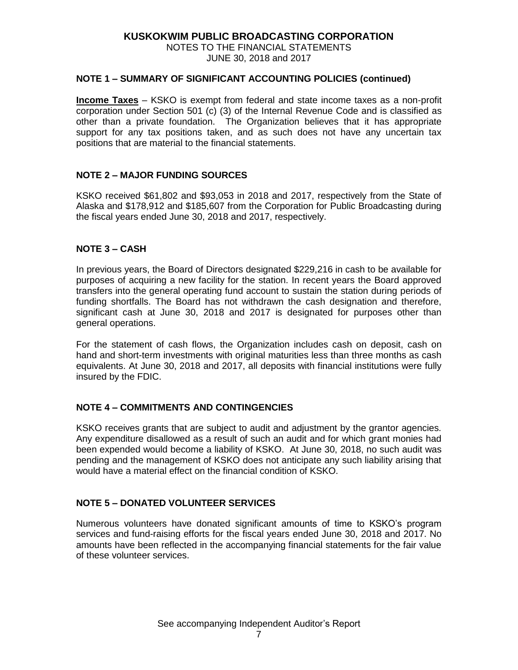NOTES TO THE FINANCIAL STATEMENTS JUNE 30, 2018 and 2017

#### **NOTE 1 – SUMMARY OF SIGNIFICANT ACCOUNTING POLICIES (continued)**

**Income Taxes** – KSKO is exempt from federal and state income taxes as a non-profit corporation under Section 501 (c) (3) of the Internal Revenue Code and is classified as other than a private foundation. The Organization believes that it has appropriate support for any tax positions taken, and as such does not have any uncertain tax positions that are material to the financial statements.

#### **NOTE 2 – MAJOR FUNDING SOURCES**

KSKO received \$61,802 and \$93,053 in 2018 and 2017, respectively from the State of Alaska and \$178,912 and \$185,607 from the Corporation for Public Broadcasting during the fiscal years ended June 30, 2018 and 2017, respectively.

#### **NOTE 3 – CASH**

In previous years, the Board of Directors designated \$229,216 in cash to be available for purposes of acquiring a new facility for the station. In recent years the Board approved transfers into the general operating fund account to sustain the station during periods of funding shortfalls. The Board has not withdrawn the cash designation and therefore, significant cash at June 30, 2018 and 2017 is designated for purposes other than general operations.

For the statement of cash flows, the Organization includes cash on deposit, cash on hand and short-term investments with original maturities less than three months as cash equivalents. At June 30, 2018 and 2017, all deposits with financial institutions were fully insured by the FDIC.

#### **NOTE 4 – COMMITMENTS AND CONTINGENCIES**

KSKO receives grants that are subject to audit and adjustment by the grantor agencies. Any expenditure disallowed as a result of such an audit and for which grant monies had been expended would become a liability of KSKO. At June 30, 2018, no such audit was pending and the management of KSKO does not anticipate any such liability arising that would have a material effect on the financial condition of KSKO.

#### **NOTE 5 – DONATED VOLUNTEER SERVICES**

Numerous volunteers have donated significant amounts of time to KSKO's program services and fund-raising efforts for the fiscal years ended June 30, 2018 and 2017. No amounts have been reflected in the accompanying financial statements for the fair value of these volunteer services.